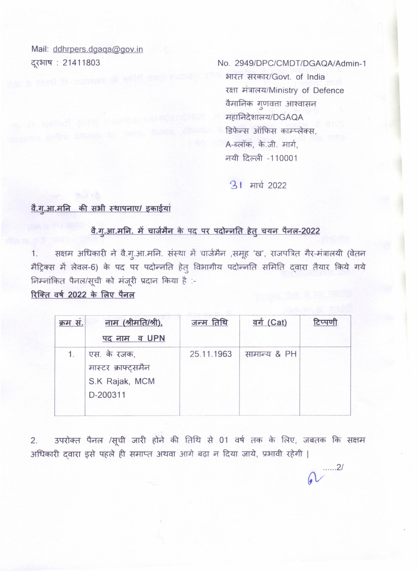Mail: ddhrpers.dgaqa@gov.in दूरभाष: 21411803

No. 2949/DPC/CMDT/DGAQA/Admin-1

भारत सरकार/Govt. of India रक्षा मंत्रालय/Ministry of Defence वैमानिक गुणवत्ता आश्वासन महानिदेशालय/DGAQA डिफेन्स ऑफिस काम्प्लेक्स. A-ब्लॉक, के.जी. मार्ग, नयी दिल्ली -110001

 $\cdots$ .2/

**31 मार्च 2022** 

## वै.गु.आ.मनि की सभी स्थापनाए/ इकाईयां

## वै.गू.आ.मनि. में चार्जमैन के पद पर पदोन्नति हेतु चयन पैनल-2022

सक्षम अधिकारी ने वै.गु.आ.मनि. संस्था में चार्जमैन ,समूह 'ख', राजपत्रित गैर-मंत्रालयी (वेतन  $1.$ मैट्रिक्स में लेवल-6) के पद पर पदोन्नति हेत् विभागीय पदोन्नति समिति दवारा तैयार किये गये निम्नांकित पैनल/सूची को मंजूरी प्रदान किया है :-

रिक्ति वर्ष 2022 के लिए पैनल

| क्रम स. | नाम (श्रीमति/श्री),                   | जन्म तिथि  | <u>वर्ग (Cat)</u> | टिप्पणी |
|---------|---------------------------------------|------------|-------------------|---------|
|         | पद नाम व UPN                          |            |                   |         |
| $1_{-}$ | एस. के रजक,                           | 25.11.1963 | सामान्य & PH      |         |
|         | मास्टर क्राफ्ट्समैन<br>S.K Rajak, MCM |            |                   |         |
|         | D-200311                              |            |                   |         |
|         |                                       |            |                   |         |

उपरोक्त पैनल /सूची जारी होने की तिथि से 01 वर्ष तक के लिए, जबतक कि सक्षम  $2.$ अधिकारी दवारा इसे पहले ही समाप्त अथवा आगे बढ़ा न दिया जाये, प्रभावी रहेगी |